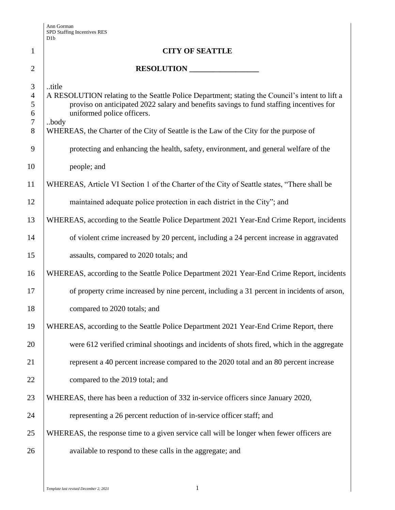|                                              | DID.                                                                                                                                                                                                                                                                                                                              |
|----------------------------------------------|-----------------------------------------------------------------------------------------------------------------------------------------------------------------------------------------------------------------------------------------------------------------------------------------------------------------------------------|
| $\mathbf{1}$                                 | <b>CITY OF SEATTLE</b>                                                                                                                                                                                                                                                                                                            |
| $\overline{2}$                               | RESOLUTION                                                                                                                                                                                                                                                                                                                        |
| 3<br>$\overline{4}$<br>5<br>6<br>$\tau$<br>8 | title<br>A RESOLUTION relating to the Seattle Police Department; stating the Council's intent to lift a<br>proviso on anticipated 2022 salary and benefits savings to fund staffing incentives for<br>uniformed police officers.<br>body<br>WHEREAS, the Charter of the City of Seattle is the Law of the City for the purpose of |
| 9                                            | protecting and enhancing the health, safety, environment, and general welfare of the                                                                                                                                                                                                                                              |
| 10                                           | people; and                                                                                                                                                                                                                                                                                                                       |
| 11                                           | WHEREAS, Article VI Section 1 of the Charter of the City of Seattle states, "There shall be                                                                                                                                                                                                                                       |
| 12                                           | maintained adequate police protection in each district in the City"; and                                                                                                                                                                                                                                                          |
| 13                                           | WHEREAS, according to the Seattle Police Department 2021 Year-End Crime Report, incidents                                                                                                                                                                                                                                         |
| 14                                           | of violent crime increased by 20 percent, including a 24 percent increase in aggravated                                                                                                                                                                                                                                           |
| 15                                           | assaults, compared to 2020 totals; and                                                                                                                                                                                                                                                                                            |
| 16                                           | WHEREAS, according to the Seattle Police Department 2021 Year-End Crime Report, incidents                                                                                                                                                                                                                                         |
| 17                                           | of property crime increased by nine percent, including a 31 percent in incidents of arson,                                                                                                                                                                                                                                        |
| 18                                           | compared to 2020 totals; and                                                                                                                                                                                                                                                                                                      |
| 19                                           | WHEREAS, according to the Seattle Police Department 2021 Year-End Crime Report, there                                                                                                                                                                                                                                             |
| 20                                           | were 612 verified criminal shootings and incidents of shots fired, which in the aggregate                                                                                                                                                                                                                                         |
| 21                                           | represent a 40 percent increase compared to the 2020 total and an 80 percent increase                                                                                                                                                                                                                                             |
| 22                                           | compared to the 2019 total; and                                                                                                                                                                                                                                                                                                   |
| 23                                           | WHEREAS, there has been a reduction of 332 in-service officers since January 2020,                                                                                                                                                                                                                                                |
| 24                                           | representing a 26 percent reduction of in-service officer staff; and                                                                                                                                                                                                                                                              |
| 25                                           | WHEREAS, the response time to a given service call will be longer when fewer officers are                                                                                                                                                                                                                                         |
| 26                                           | available to respond to these calls in the aggregate; and                                                                                                                                                                                                                                                                         |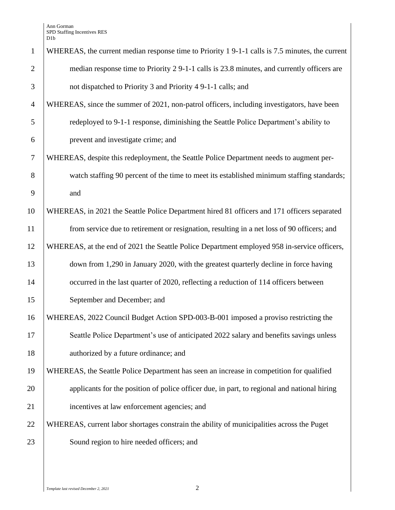| $\mathbf{1}$   | WHEREAS, the current median response time to Priority 1 9-1-1 calls is 7.5 minutes, the current |
|----------------|-------------------------------------------------------------------------------------------------|
| $\overline{2}$ | median response time to Priority 2 9-1-1 calls is 23.8 minutes, and currently officers are      |
| 3              | not dispatched to Priority 3 and Priority 4 9-1-1 calls; and                                    |
| $\overline{4}$ | WHEREAS, since the summer of 2021, non-patrol officers, including investigators, have been      |
| 5              | redeployed to 9-1-1 response, diminishing the Seattle Police Department's ability to            |
| 6              | prevent and investigate crime; and                                                              |
| 7              | WHEREAS, despite this redeployment, the Seattle Police Department needs to augment per-         |
| 8              | watch staffing 90 percent of the time to meet its established minimum staffing standards;       |
| 9              | and                                                                                             |
| 10             | WHEREAS, in 2021 the Seattle Police Department hired 81 officers and 171 officers separated     |
| 11             | from service due to retirement or resignation, resulting in a net loss of 90 officers; and      |
| 12             | WHEREAS, at the end of 2021 the Seattle Police Department employed 958 in-service officers,     |
| 13             | down from 1,290 in January 2020, with the greatest quarterly decline in force having            |
| 14             | occurred in the last quarter of 2020, reflecting a reduction of 114 officers between            |
| 15             | September and December; and                                                                     |
| 16             | WHEREAS, 2022 Council Budget Action SPD-003-B-001 imposed a proviso restricting the             |
| 17             | Seattle Police Department's use of anticipated 2022 salary and benefits savings unless          |
| 18             | authorized by a future ordinance; and                                                           |
| 19             | WHEREAS, the Seattle Police Department has seen an increase in competition for qualified        |
| 20             | applicants for the position of police officer due, in part, to regional and national hiring     |
| 21             | incentives at law enforcement agencies; and                                                     |
| 22             | WHEREAS, current labor shortages constrain the ability of municipalities across the Puget       |
| 23             | Sound region to hire needed officers; and                                                       |
|                |                                                                                                 |